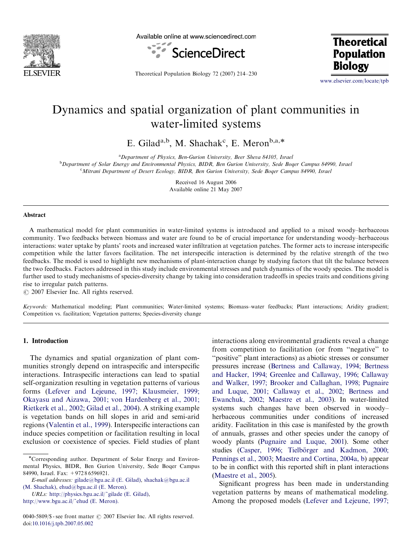

Available online at www.sciencedirect.com



**Theoretical Population Biology** 

Theoretical Population Biology 72 (2007) 214–230

<www.elsevier.com/locate/tpb>

# Dynamics and spatial organization of plant communities in water-limited systems

E. Gilad<sup>a,b</sup>, M. Shachak<sup>c</sup>, E. Meron<sup>b,a,\*</sup>

<sup>a</sup> Department of Physics, Ben-Gurion University, Beer Sheva 84105, Israel

**b** Department of Solar Energy and Environmental Physics, BIDR, Ben Gurion University, Sede Boqer Campus 84990, Israel <sup>c</sup>Mitrani Department of Desert Ecology, BIDR, Ben Gurion University, Sede Boqer Campus 84990, Israel

> Received 16 August 2006 Available online 21 May 2007

#### Abstract

A mathematical model for plant communities in water-limited systems is introduced and applied to a mixed woody–herbaceous community. Two feedbacks between biomass and water are found to be of crucial importance for understanding woody–herbaceous interactions: water uptake by plants' roots and increased water infiltration at vegetation patches. The former acts to increase interspecific competition while the latter favors facilitation. The net interspecific interaction is determined by the relative strength of the two feedbacks. The model is used to highlight new mechanisms of plant-interaction change by studying factors that tilt the balance between the two feedbacks. Factors addressed in this study include environmental stresses and patch dynamics of the woody species. The model is further used to study mechanisms of species-diversity change by taking into consideration tradeoffs in species traits and conditions giving rise to irregular patch patterns.

 $\odot$  2007 Elsevier Inc. All rights reserved.

Keywords: Mathematical modeling; Plant communities; Water-limited systems; Biomass–water feedbacks; Plant interactions; Aridity gradient; Competition vs. facilitation; Vegetation patterns; Species-diversity change

## 1. Introduction

The dynamics and spatial organization of plant communities strongly depend on intraspecific and interspecific interactions. Intraspecific interactions can lead to spatial self-organization resulting in vegetation patterns of various forms ([Lefever and Lejeune, 1997; Klausmeier, 1999;](#page-16-0) [Okayasu and Aizawa, 2001; von Hardenberg et al., 2001;](#page-16-0) [Rietkerk et al., 2002; Gilad et al., 2004](#page-16-0)). A striking example is vegetation bands on hill slopes in arid and semi-arid regions [\(Valentin et al., 1999\)](#page-16-0). Interspecific interactions can induce species competition or facilitation resulting in local exclusion or coexistence of species. Field studies of plant interactions along environmental gradients reveal a change from competition to facilitation (or from ''negative'' to ''positive'' plant interactions) as abiotic stresses or consumer pressures increase [\(Bertness and Callaway, 1994; Bertness](#page-15-0) [and Hacker, 1994; Greenlee and Callaway, 1996; Callaway](#page-15-0) [and Walker, 1997; Brooker and Callaghan, 1998; Pugnaire](#page-15-0) [and Luque, 2001; Callaway et al., 2002; Bertness and](#page-15-0) [Ewanchuk, 2002; Maestre et al., 2003\)](#page-15-0). In water-limited systems such changes have been observed in woody– herbaceous communities under conditions of increased aridity. Facilitation in this case is manifested by the growth of annuals, grasses and other species under the canopy of woody plants [\(Pugnaire and Luque, 2001\)](#page-16-0). Some other studies (Casper, 1996; Tielbörger and Kadmon, 2000; [Pennings et al., 2003](#page-15-0); [Maestre and Cortina, 2004a, b](#page-16-0)) appear to be in conflict with this reported shift in plant interactions [\(Maestre et al., 2005\)](#page-16-0).

Significant progress has been made in understanding vegetation patterns by means of mathematical modeling. Among the proposed models ([Lefever and Lejeune, 1997;](#page-16-0)

<sup>-</sup>Corresponding author. Department of Solar Energy and Environmental Physics, BIDR, Ben Gurion University, Sede Boqer Campus 84990, Israel. Fax: +972 8 6596921.

E-mail addresses: [gilade@bgu.ac.il \(E. Gilad\)](mailto:gilade@bgu.ac.il), [shachak@bgu.ac.il](mailto:shachak@bgu.ac.il) [\(M. Shachak\),](mailto:shachak@bgu.ac.il) [ehud@bgu.ac.il \(E. Meron\)](mailto:ehud@bgu.ac.il).

URLs: [http://physics.bgu.ac.il/~gilade \(E. Gilad\)](http://physics.bgu.ac.il/~gilade), [http://www.bgu.ac.il/~ehud \(E. Meron\).](http://www.bgu.ac.il/~ehud)

<sup>0040-5809/\$ -</sup> see front matter  $\odot$  2007 Elsevier Inc. All rights reserved. doi:[10.1016/j.tpb.2007.05.002](dx.doi.org/10.1016/j.tpb.2007.05.002)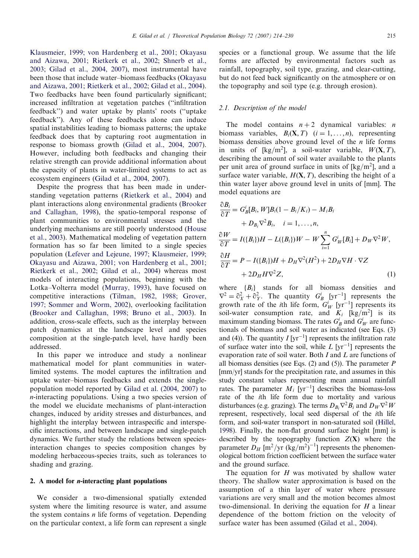[Klausmeier, 1999; von Hardenberg et al., 2001; Okayasu](#page-16-0) [and Aizawa, 2001; Rietkerk et al., 2002; Shnerb et al.,](#page-16-0) [2003; Gilad et al., 2004, 2007\)](#page-16-0), most instrumental have been those that include water–biomass feedbacks [\(Okayasu](#page-16-0) [and Aizawa, 2001; Rietkerk et al., 2002; Gilad et al., 2004\)](#page-16-0). Two feedbacks have been found particularly significant; increased infiltration at vegetation patches (''infiltration feedback'') and water uptake by plants' roots (''uptake feedback''). Any of these feedbacks alone can induce spatial instabilities leading to biomass patterns; the uptake feedback does that by capturing root augmentation in response to biomass growth [\(Gilad et al., 2004, 2007\)](#page-15-0). However, including both feedbacks and changing their relative strength can provide additional information about the capacity of plants in water-limited systems to act as ecosystem engineers ([Gilad et al., 2004, 2007\)](#page-15-0).

Despite the progress that has been made in understanding vegetation patterns [\(Rietkerk et al., 2004](#page-16-0)) and plant interactions along environmental gradients [\(Brooker](#page-15-0) [and Callaghan, 1998\)](#page-15-0), the spatio-temporal response of plant communities to environmental stresses and the underlying mechanisms are still poorly understood [\(House](#page-16-0) [et al., 2003](#page-16-0)). Mathematical modeling of vegetation pattern formation has so far been limited to a single species population ([Lefever and Lejeune, 1997; Klausmeier, 1999;](#page-16-0) [Okayasu and Aizawa, 2001; von Hardenberg et al., 2001;](#page-16-0) [Rietkerk et al., 2002; Gilad et al., 2004\)](#page-16-0) whereas most models of interacting populations, beginning with the Lotka–Volterra model ([Murray, 1993](#page-16-0)), have focused on competitive interactions ([Tilman, 1982, 1988; Grover,](#page-16-0) [1997; Sommer and Worm, 2002](#page-16-0)), overlooking facilitation ([Brooker and Callaghan, 1998; Bruno et al., 2003\)](#page-15-0). In addition, cross-scale effects, such as the interplay between patch dynamics at the landscape level and species composition at the single-patch level, have hardly been addressed.

In this paper we introduce and study a nonlinear mathematical model for plant communities in waterlimited systems. The model captures the infiltration and uptake water–biomass feedbacks and extends the singlepopulation model reported by [Gilad et al. \(2004, 2007\)](#page-15-0) to n-interacting populations. Using a two species version of the model we elucidate mechanisms of plant-interaction changes, induced by aridity stresses and disturbances, and highlight the interplay between intraspecific and interspecific interactions, and between landscape and single-patch dynamics. We further study the relations between speciesinteraction changes to species composition changes by modeling herbaceous-species traits, such as tolerances to shading and grazing.

### 2. A model for *-interacting plant populations*

We consider a two-dimensional spatially extended system where the limiting resource is water, and assume the system contains  $n$  life forms of vegetation. Depending on the particular context, a life form can represent a single species or a functional group. We assume that the life forms are affected by environmental factors such as rainfall, topography, soil type, grazing, and clear-cutting, but do not feed back significantly on the atmosphere or on the topography and soil type (e.g. through erosion).

## 2.1. Description of the model

The model contains  $n + 2$  dynamical variables: *n* biomass variables,  $B_i(\mathbf{X}, T)$   $(i = 1, ..., n)$ , representing biomass densities above ground level of the  $n$  life forms in units of [kg/m<sup>2</sup>], a soil-water variable,  $W(\mathbf{X}, T)$ , describing the amount of soil water available to the plants per unit area of ground surface in units of  $[kg/m^2]$ , and a surface water variable,  $H(\mathbf{X}, T)$ , describing the height of a thin water layer above ground level in units of [mm]. The model equations are

$$
\frac{\partial B_i}{\partial T} = G_B^i[B_i, W]B_i(1 - B_i/K_i) - M_iB_i
$$
  
+  $D_{B_i}\nabla^2 B_i$ ,  $i = 1, ..., n$ ,  

$$
\frac{\partial W}{\partial T} = I(\{B_i\})H - L(\{B_i\})W - W\sum_{i=1}^n G_W^i[B_i] + D_W\nabla^2 W,
$$

$$
\frac{\partial H}{\partial T} = P - I(\{B_i\})H + D_H\nabla^2(H^2) + 2D_H\nabla H \cdot \nabla Z
$$

$$
+ 2D_H H \nabla^2 Z,
$$
 (1)

where  ${B_i}$  stands for all biomass densities and  $\nabla^2 = \partial_X^2 + \partial_Y^2$ . The quantity  $G_B^i$  [yr<sup>-1</sup>] represents the growth rate of the *i*th life form,  $G_W^i$  [yr<sup>-1</sup>] represents its soil-water consumption rate, and  $K_i$  [kg/m<sup>2</sup>] is its maximum standing biomass. The rates  $G_B^i$  and  $G_W^i$  are functionals of biomass and soil water as indicated (see Eqs. (3) and (4)). The quantity  $I[\text{yr}^{-1}]$  represents the infiltration rate of surface water into the soil, while  $L$  [yr<sup>-1</sup>] represents the evaporation rate of soil water. Both I and L are functions of all biomass densities (see Eqs.  $(2)$  and  $(5)$ ). The parameter P [mm/yr] stands for the precipitation rate, and assumes in this study constant values representing mean annual rainfall rates. The parameter  $M_i$  [yr<sup>-1</sup>] describes the biomass-loss rate of the ith life form due to mortality and various disturbances (e.g. grazing). The terms  $D_{B_i} \nabla^2 B_i$  and  $D_W \nabla^2 W$ represent, respectively, local seed dispersal of the ith life form, and soil-water transport in non-saturated soil [\(Hillel,](#page-15-0) [1998\)](#page-15-0). Finally, the non-flat ground surface height [mm] is described by the topography function  $Z(X)$  where the parameter  $D_H$  [m<sup>2</sup>/yr (kg/m<sup>2</sup>)<sup>-1</sup>] represents the phenomenological bottom friction coefficient between the surface water and the ground surface.

The equation for  $H$  was motivated by shallow water theory. The shallow water approximation is based on the assumption of a thin layer of water where pressure variations are very small and the motion becomes almost two-dimensional. In deriving the equation for  $H$  a linear dependence of the bottom friction on the velocity of surface water has been assumed ([Gilad et al., 2004\)](#page-15-0).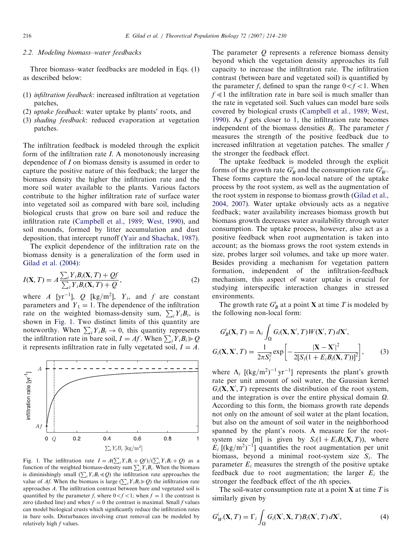# <span id="page-2-0"></span>2.2. Modeling biomass–water feedbacks

Three biomass–water feedbacks are modeled in Eqs. (1) as described below:

- (1) infiltration feedback: increased infiltration at vegetation patches,
- (2) uptake feedback: water uptake by plants' roots, and
- (3) shading feedback: reduced evaporation at vegetation patches.

The infiltration feedback is modeled through the explicit form of the infiltration rate I. A monotonously increasing dependence of I on biomass density is assumed in order to capture the positive nature of this feedback; the larger the biomass density the higher the infiltration rate and the more soil water available to the plants. Various factors contribute to the higher infiltration rate of surface water into vegetated soil as compared with bare soil, including biological crusts that grow on bare soil and reduce the infiltration rate ([Campbell et al., 1989; West, 1990](#page-15-0)), and soil mounds, formed by litter accumulation and dust deposition, that intercept runoff [\(Yair and Shachak, 1987\)](#page-16-0).

The explicit dependence of the infiltration rate on the biomass density is a generalization of the form used in [Gilad et al. \(2004\):](#page-15-0)

$$
I(\mathbf{X}, T) = A \frac{\sum_{i} Y_{i} B_{i}(\mathbf{X}, T) + Qf}{\sum_{i} Y_{i} B_{i}(\mathbf{X}, T) + Q},
$$
\n(2)

where A [yr<sup>-1</sup>], Q [kg/m<sup>2</sup>],  $Y_i$ , and f are constant parameters and  $Y_1 = 1$ . The dependence of the infiltration parameters and  $T_1 = 1$ . The dependence of the immedition<br>rate on the weighted biomass-density sum,  $\sum_i Y_i B_i$ , is shown in Fig. 1. Two distinct limits of this quantity are including the distribution of this quantity are<br>noteworthy. When  $\sum_i Y_i B_i \to 0$ , this quantity represents the infiltration rate in bare soil,  $I = Af$ . When  $\sum_i Y_i B_i \ge Q$ it represents infiltration rate in fully vegetated soil,  $I = A$ .



Fig. 1. The infiltration rate  $I = A(\sum_i Y_i B_i + Qf)/(\sum_i Y_i B_i + Q)$  as a function of the weighted biomass-density sum  $\sum_i Y_i B_i$ . When the biomass is diminishingly small  $(\sum_i Y_i B_i \ll Q)$  the infiltration rate approaches the value of Af. When the biomass is large  $(\sum_i Y_i B_i \ge Q)$  the infiltration rate approaches A. The infiltration contrast between bare and vegetated soil is quantified by the parameter f, where  $0 < f < 1$ ; when  $f = 1$  the contrast is zero (dashed line) and when  $f = 0$  the contrast is maximal. Small f values can model biological crusts which significantly reduce the infiltration rates in bare soils. Disturbances involving crust removal can be modeled by relatively high  $f$  values.

The parameter  $Q$  represents a reference biomass density beyond which the vegetation density approaches its full capacity to increase the infiltration rate. The infiltration contrast (between bare and vegetated soil) is quantified by the parameter f, defined to span the range  $0 < f < 1$ . When  $f \ll 1$  the infiltration rate in bare soil is much smaller than the rate in vegetated soil. Such values can model bare soils covered by biological crusts [\(Campbell et al., 1989; West,](#page-15-0) [1990\)](#page-15-0). As f gets closer to 1, the infiltration rate becomes independent of the biomass densities  $B_i$ . The parameter f measures the strength of the positive feedback due to increased infiltration at vegetation patches. The smaller f the stronger the feedback effect.

The uptake feedback is modeled through the explicit forms of the growth rate  $G_B^i$  and the consumption rate  $G_W^i$ . These forms capture the non-local nature of the uptake process by the root system, as well as the augmentation of the root system in response to biomass growth [\(Gilad et al.,](#page-15-0) [2004, 2007](#page-15-0)). Water uptake obviously acts as a negative feedback; water availability increases biomass growth but biomass growth decreases water availability through water consumption. The uptake process, however, also act as a positive feedback when root augmentation is taken into account; as the biomass grows the root system extends in size, probes larger soil volumes, and take up more water. Besides providing a mechanism for vegetation pattern formation, independent of the infiltration-feedback mechanism, this aspect of water uptake is crucial for studying interspecific interaction changes in stressed environments.

The growth rate  $G_B^i$  at a point **X** at time T is modeled by the following non-local form:

$$
G_B^i(\mathbf{X}, T) = \Lambda_i \int_{\Omega} G_i(\mathbf{X}, \mathbf{X}', T) W(\mathbf{X}', T) d\mathbf{X}',
$$
  

$$
G_i(\mathbf{X}, \mathbf{X}', T) = \frac{1}{2\pi S_i^2} \exp\left[-\frac{|\mathbf{X} - \mathbf{X}'|^2}{2[S_i(1 + E_i B_i(\mathbf{X}, T))]^2}\right],
$$
 (3)

where  $\Lambda_i$  [(kg/m<sup>2</sup>)<sup>-1</sup> yr<sup>-1</sup>] represents the plant's growth rate per unit amount of soil water, the Gaussian kernel  $G_i$ (**X**, **X'**, *T*) represents the distribution of the root system, and the integration is over the entire physical domain  $\Omega$ . According to this form, the biomass growth rate depends not only on the amount of soil water at the plant location, but also on the amount of soil water in the neighborhood spanned by the plant's roots. A measure for the rootsystem size [m] is given by  $S_i(1 + E_i B_i(\mathbf{X}, T))$ , where  $E_i$  [(kg/m<sup>2</sup>)<sup>-1</sup>] quantifies the root augmentation per unit biomass, beyond a minimal root-system size  $S_i$ . The parameter  $E_i$  measures the strength of the positive uptake feedback due to root augmentation; the larger  $E_i$  the stronger the feedback effect of the ith species.

The soil-water consumption rate at a point  $X$  at time  $T$  is similarly given by

$$
G_W^i(\mathbf{X}, T) = \Gamma_i \int_{\Omega} G_i(\mathbf{X}', \mathbf{X}, T) B_i(\mathbf{X}', T) d\mathbf{X}',\tag{4}
$$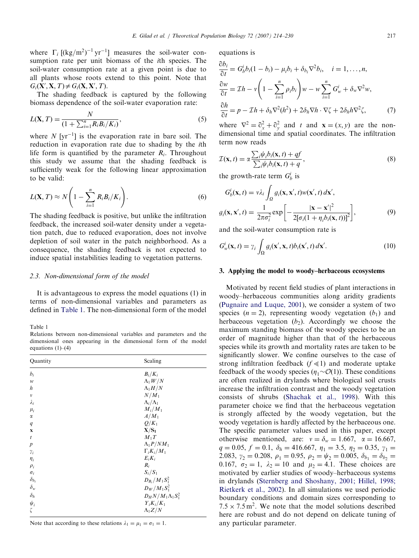<span id="page-3-0"></span>where  $\Gamma_i$  [(kg/m<sup>2</sup>)<sup>-1</sup> yr<sup>-1</sup>] measures the soil-water consumption rate per unit biomass of the ith species. The soil-water consumption rate at a given point is due to all plants whose roots extend to this point. Note that  $G_i(X', X, T) \neq G_i(X, X', T).$ 

The shading feedback is captured by the following biomass dependence of the soil-water evaporation rate:

$$
L(X, T) = \frac{N}{(1 + \sum_{i=1}^{n} R_i B_i/K_i)},
$$
\n(5)

where  $N$  [yr<sup>-1</sup>] is the evaporation rate in bare soil. The reduction in evaporation rate due to shading by the ith life form is quantified by the parameter  $R_i$ . Throughout this study we assume that the shading feedback is sufficiently weak for the following linear approximation to be valid:

$$
L(\mathbf{X}, T) \approx N\left(1 - \sum_{i=1}^{n} R_i B_i / K_i\right). \tag{6}
$$

The shading feedback is positive, but unlike the infiltration feedback, the increased soil-water density under a vegetation patch, due to reduced evaporation, does not involve depletion of soil water in the patch neighborhood. As a consequence, the shading feedback is not expected to induce spatial instabilities leading to vegetation patterns.

## 2.3. Non-dimensional form of the model

It is advantageous to express the model equations (1) in terms of non-dimensional variables and parameters as defined in Table 1. The non-dimensional form of the model

Table 1

Relations between non-dimensional variables and parameters and the dimensional ones appearing in the dimensional form of the model equations  $(1)$ – $(4)$ 

| Quantity           | Scaling                     |
|--------------------|-----------------------------|
| $b_i$              | $B_i/K_i$                   |
| w                  | $\Lambda_1 W/N$             |
| h                  | $\Lambda_1 H/N$             |
| $\boldsymbol{\nu}$ | $N/M_1$                     |
| $\lambda_i$        | $\Lambda_i/\Lambda_1$       |
| $\mu_i$            | $M_i/M_1$                   |
| $\alpha$           | $A/M_1$                     |
| q                  | $Q/K_1$                     |
| $\mathbf x$        | $X/S_1$                     |
| $\boldsymbol{t}$   | $M_1T$                      |
| $\boldsymbol{p}$   | $\Lambda_1 P/NM_1$          |
| $\gamma_i$         | $\Gamma_i K_i/M_1$          |
| $\eta_i$           | $E_i K_i$                   |
| $\rho_i$           | $R_i$                       |
| $\sigma_i$         | $S_i/S_1$                   |
| $\delta_{b_i}$     | $D_{B_i}/M_1S_1^2$          |
| $\delta_w$         | $D_W/M_1S_1^2$              |
| $\delta_h$         | $D_H N/M_1 \Lambda_1 S_1^2$ |
| $\psi_i$           | $Y_i K_i/K_1$               |
| ζ                  | $\Lambda_1 Z/N$             |
|                    |                             |

Note that according to these relations  $\lambda_1 = \mu_1 = \sigma_1 = 1$ .

equations is

$$
\frac{\partial b_i}{\partial t} = G_b^i b_i (1 - b_i) - \mu_i b_i + \delta_{b_i} \nabla^2 b_i, \quad i = 1, ..., n,
$$
  

$$
\frac{\partial w}{\partial t} = \mathcal{I}h - v \left(1 - \sum_{i=1}^n \rho_i b_i\right) w - w \sum_{i=1}^n G_w^i + \delta_w \nabla^2 w,
$$
  

$$
\frac{\partial h}{\partial t} = p - \mathcal{I}h + \delta_h \nabla^2 (h^2) + 2\delta_h \nabla h \cdot \nabla \zeta + 2\delta_h h \nabla^2 \zeta,
$$
 (7)

where  $\nabla^2 = \partial_x^2 + \partial_y^2$  and t and  $\mathbf{x} = (x, y)$  are the nondimensional time and spatial coordinates. The infiltration term now reads

$$
\mathcal{I}(\mathbf{x}, t) = \alpha \frac{\sum_{i} \psi_{i} b_{i}(\mathbf{x}, t) + qf}{\sum_{i} \psi_{i} b_{i}(\mathbf{x}, t) + q},
$$
\n(8)

the growth-rate term  $G_b^i$  is

$$
G_b^i(\mathbf{x}, t) = v\lambda_i \int_{\Omega} g_i(\mathbf{x}, \mathbf{x}', t) w(\mathbf{x}', t) d\mathbf{x}',
$$

$$
g_i(\mathbf{x}, \mathbf{x}', t) = \frac{1}{2\pi\sigma_i^2} \exp\left[-\frac{|\mathbf{x} - \mathbf{x}'|^2}{2[\sigma_i(1 + \eta_i b_i(\mathbf{x}, t))]^2}\right],
$$
(9)

and the soil-water consumption rate is

$$
G_w^i(\mathbf{x}, t) = \gamma_i \int_{\Omega} g_i(\mathbf{x}', \mathbf{x}, t) b_i(\mathbf{x}', t) d\mathbf{x}'. \tag{10}
$$

#### 3. Applying the model to woody–herbaceous ecosystems

Motivated by recent field studies of plant interactions in woody–herbaceous communities along aridity gradients ([Pugnaire and Luque, 2001\)](#page-16-0), we consider a system of two species  $(n = 2)$ , representing woody vegetation  $(b_1)$  and herbaceous vegetation  $(b_2)$ . Accordingly we choose the maximum standing biomass of the woody species to be an order of magnitude higher than that of the herbaceous species while its growth and mortality rates are taken to be significantly slower. We confine ourselves to the case of strong infiltration feedback  $(f \ll 1)$  and moderate uptake feedback of the woody species  $(\eta_1 \sim \mathcal{O}(1))$ . These conditions are often realized in drylands where biological soil crusts increase the infiltration contrast and the woody vegetation consists of shrubs [\(Shachak et al., 1998](#page-16-0)). With this parameter choice we find that the herbaceous vegetation is strongly affected by the woody vegetation, but the woody vegetation is hardly affected by the herbaceous one. The specific parameter values used in this paper, except otherwise mentioned, are:  $v = \delta_w = 1.667$ ,  $\alpha = 16.667$ ,  $q = 0.05, f = 0.1, \delta_h = 416.667, \eta_1 = 3.5, \eta_2 = 0.35, \gamma_1 =$ 2.083,  $\gamma_2 = 0.208$ ,  $\rho_1 = 0.95$ ,  $\rho_2 = \psi_2 = 0.005$ ,  $\delta_{b_1} = \delta_{b_2} =$ 0.167,  $\sigma_2 = 1$ ,  $\lambda_2 = 10$  and  $\mu_2 = 4.1$ . These choices are motivated by earlier studies of woody–herbaceous systems in drylands ([Sternberg and Shoshany, 2001; Hillel, 1998;](#page-16-0) [Rietkerk et al., 2002\)](#page-16-0). In all simulations we used periodic boundary conditions and domain sizes corresponding to  $7.5 \times 7.5$  m<sup>2</sup>. We note that the model solutions described here are robust and do not depend on delicate tuning of any particular parameter.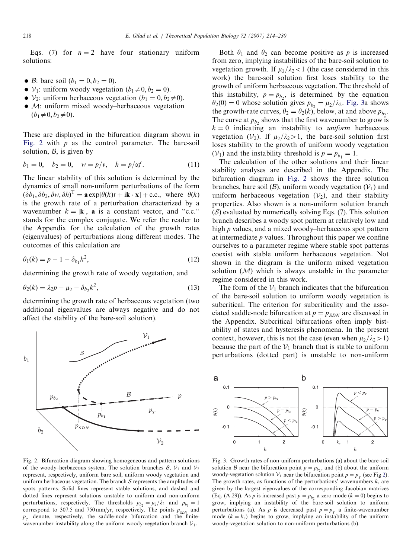<span id="page-4-0"></span>Eqs. (7) for  $n = 2$  have four stationary uniform solutions:

- $\bullet$  *B*: bare soil ( $b_1 = 0, b_2 = 0$ ).
- $V_1$ : uniform woody vegetation  $(b_1 \neq 0, b_2 = 0)$ .
- $V_2$ : uniform herbaceous vegetation  $(b_1 = 0, b_2 \neq 0)$ .
- M: uniform mixed woody–herbaceous vegetation  $(b_1\neq 0, b_2\neq 0).$

These are displayed in the bifurcation diagram shown in Fig. 2 with  $p$  as the control parameter. The bare-soil solution,  $\beta$ , is given by

$$
b_1 = 0, \quad b_2 = 0, \quad w = p/v, \quad h = p/\alpha f.
$$
 (11)

The linear stability of this solution is determined by the dynamics of small non-uniform perturbations of the form  $(\delta b_1, \delta b_2, \delta w, \delta h)^T = \mathbf{a} \exp[\theta(k)t + i\mathbf{k} \cdot \mathbf{x}] + \text{c.c., where } \theta(k)$ is the growth rate of a perturbation characterized by a wavenumber  $k = |\mathbf{k}|$ , **a** is a constant vector, and "c.c." stands for the complex conjugate. We refer the reader to the Appendix for the calculation of the growth rates (eigenvalues) of perturbations along different modes. The outcomes of this calculation are

$$
\theta_1(k) = p - 1 - \delta_{b_1} k^2,
$$
\n(12)

determining the growth rate of woody vegetation, and

$$
\theta_2(k) = \lambda_2 p - \mu_2 - \delta_{b_2} k^2,
$$
\n(13)

determining the growth rate of herbaceous vegetation (two additional eigenvalues are always negative and do not affect the stability of the bare-soil solution).



Fig. 2. Bifurcation diagram showing homogeneous and pattern solutions of the woody–herbaceous system. The solution branches  $B$ ,  $V_1$  and  $V_2$ represent, respectively, uniform bare soil, uniform woody vegetation and uniform herbaceous vegetation. The branch  $S$  represents the amplitudes of spots patterns. Solid lines represent stable solutions, and dashed and dotted lines represent solutions unstable to uniform and non-uniform perturbations, respectively. The thresholds  $p_{b_2} = \mu_2 / \lambda_2$  and  $p_{b_1} = 1$ correspond to 307.5 and 750 mm/yr, respectively. The points  $p_{SDN}$  and  $p_{\tau}$  denote, respectively, the saddle-node bifurcation and the finitewavenumber instability along the uniform woody-vegetation branch  $V_1$ .

Both  $\theta_1$  and  $\theta_2$  can become positive as p is increased from zero, implying instabilities of the bare-soil solution to vegetation growth. If  $\mu_2/\lambda_2 < 1$  (the case considered in this work) the bare-soil solution first loses stability to the growth of uniform herbaceous vegetation. The threshold of this instability,  $p = p_{b_2}$ , is determined by the equation  $\theta_2(0) = 0$  whose solution gives  $p_{b_2} = \mu_2/\lambda_2$ . Fig. 3a shows the growth-rate curves,  $\theta_2 = \theta_2(k)$ , below, at and above  $p_{b_2}$ . The curve at  $p_b$ , shows that the first wavenumber to grow is  $k = 0$  indicating an instability to *uniform* herbaceous vegetation  $(V_2)$ . If  $\mu_2/\lambda_2>1$ , the bare-soil solution first loses stability to the growth of uniform woody vegetation  $(V_1)$  and the instability threshold is  $p = p_{b_1} = 1$ .

The calculation of the other solutions and their linear stability analyses are described in the Appendix. The bifurcation diagram in Fig. 2 shows the three solution branches, bare soil ( $\mathcal{B}$ ), uniform woody vegetation ( $\mathcal{V}_1$ ) and uniform herbaceous vegetation  $(V_2)$ , and their stability properties. Also shown is a non-uniform solution branch  $(S)$  evaluated by numerically solving Eqs. (7). This solution branch describes a woody spot pattern at relatively low and high p values, and a mixed woody–herbaceous spot pattern at intermediate  $p$  values. Throughout this paper we confine ourselves to a parameter regime where stable spot patterns coexist with stable uniform herbaceous vegetation. Not shown in the diagram is the uniform mixed vegetation solution  $(M)$  which is always unstable in the parameter regime considered in this work.

The form of the  $V_1$  branch indicates that the bifurcation of the bare-soil solution to uniform woody vegetation is subcritical. The criterion for subcriticality and the associated saddle-node bifurcation at  $p = p_{SDN}$  are discussed in the Appendix. Subcritical bifurcations often imply bistability of states and hysteresis phenomena. In the present context, however, this is not the case (even when  $\mu_2/\lambda_2>1$ ) because the part of the  $V_1$  branch that is stable to uniform perturbations (dotted part) is unstable to non-uniform



Fig. 3. Growth rates of non-uniform perturbations (a) about the bare-soil solution B near the bifurcation point  $p = p<sub>b</sub>$ , and (b) about the uniform woody-vegetation solution  $V_1$  near the bifurcation point  $p = p_T$  (see Fig 2). The growth rates, as functions of the perturbations' wavenumbers  $k$ , are given by the largest eigenvalues of the corresponding Jacobian matrices (Eq. (A.29)). As p is increased past  $p = p_b$ , a zero mode ( $k = 0$ ) begins to grow, implying an instability of the bare-soil solution to uniform perturbations (a). As p is decreased past  $p = p<sub>T</sub>$  a finite-wavenumber mode  $(k = k_c)$  begins to grow, implying an instability of the uniform woody-vegetation solution to non-uniform perturbations (b).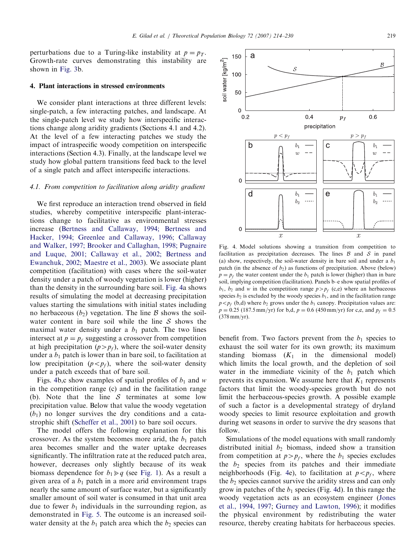<span id="page-5-0"></span>perturbations due to a Turing-like instability at  $p = p<sub>T</sub>$ . Growth-rate curves demonstrating this instability are shown in [Fig. 3](#page-4-0)b.

# 4. Plant interactions in stressed environments

We consider plant interactions at three different levels: single-patch, a few interacting patches, and landscape. At the single-patch level we study how interspecific interactions change along aridity gradients (Sections 4.1 and 4.2). At the level of a few interacting patches we study the impact of intraspecific woody competition on interspecific interactions (Section 4.3). Finally, at the landscape level we study how global pattern transitions feed back to the level of a single patch and affect interspecific interactions.

# 4.1. From competition to facilitation along aridity gradient

We first reproduce an interaction trend observed in field studies, whereby competitive interspecific plant-interactions change to facilitative as environmental stresses increase [\(Bertness and Callaway, 1994; Bertness and](#page-15-0) [Hacker, 1994; Greenlee and Callaway, 1996; Callaway](#page-15-0) [and Walker, 1997; Brooker and Callaghan, 1998; Pugnaire](#page-15-0) [and Luque, 2001; Callaway et al., 2002; Bertness and](#page-15-0) [Ewanchuk, 2002; Maestre et al., 2003\)](#page-15-0). We associate plant competition (facilitation) with cases where the soil-water density under a patch of woody vegetation is lower (higher) than the density in the surrounding bare soil. Fig. 4a shows results of simulating the model at decreasing precipitation values starting the simulations with initial states including no herbaceous  $(b_2)$  vegetation. The line B shows the soilwater content in bare soil while the line  $S$  shows the maximal water density under a  $b_1$  patch. The two lines intersect at  $p = p_f$  suggesting a crossover from competition at high precipitation  $(p>p_f)$ , where the soil-water density under a  $b_1$  patch is lower than in bare soil, to facilitation at low precipitation  $(p < p_f)$ , where the soil-water density under a patch exceeds that of bare soil.

Figs. 4b,c show examples of spatial profiles of  $b_1$  and w in the competition range (c) and in the facilitation range (b). Note that the line  $S$  terminates at some low precipitation value. Below that value the woody vegetation  $(b_1)$  no longer survives the dry conditions and a catastrophic shift ([Scheffer et al., 2001](#page-16-0)) to bare soil occurs.

The model offers the following explanation for this crossover. As the system becomes more arid, the  $b_1$  patch area becomes smaller and the water uptake decreases significantly. The infiltration rate at the reduced patch area, however, decreases only slightly because of its weak biomass dependence for  $b_1 \geq q$  (see [Fig. 1\)](#page-2-0). As a result a given area of a  $b_1$  patch in a more arid environment traps nearly the same amount of surface water, but a significantly smaller amount of soil water is consumed in that unit area due to fewer  $b_1$  individuals in the surrounding region, as demonstrated in [Fig. 5.](#page-6-0) The outcome is an increased soilwater density at the  $b_1$  patch area which the  $b_2$  species can

Fig. 4. Model solutions showing a transition from competition to facilitation as precipitation decreases. The lines  $\beta$  and  $\beta$  in panel (a) show, respectively, the soil-water density in bare soil and under a  $b_1$ patch (in the absence of  $b_2$ ) as functions of precipitation. Above (below)  $p = p_f$  the water content under the  $b_1$  patch is lower (higher) than in bare soil, implying competition (facilitation). Panels b–e show spatial profiles of  $b_1$ ,  $b_2$  and w in the competition range  $p>p_f$  (c,e) where an herbaceous species  $b_2$  is excluded by the woody species  $b_1$ , and in the facilitation range  $p < p_f$  (b,d) where  $b_2$  grows under the  $b_1$  canopy. Precipitation values are:  $p = 0.25$  (187.5 mm/yr) for b,d,  $p = 0.6$  (450 mm/yr) for c,e, and  $p_f = 0.5$ (378 mm/yr).

benefit from. Two factors prevent from the  $b_1$  species to exhaust the soil water for its own growth; its maximum standing biomass  $(K_1$  in the dimensional model) which limits the local growth, and the depletion of soil water in the immediate vicinity of the  $b_1$  patch which prevents its expansion. We assume here that  $K_1$  represents factors that limit the woody-species growth but do not limit the herbaceous-species growth. A possible example of such a factor is a developmental strategy of dryland woody species to limit resource exploitation and growth during wet seasons in order to survive the dry seasons that follow.

Simulations of the model equations with small randomly distributed initial  $b_2$  biomass, indeed show a transition from competition at  $p>p_f$ , where the  $b_1$  species excludes the  $b_2$  species from its patches and their immediate neighborhoods (Fig. 4e), to facilitation at  $p < p_f$ , where the  $b_2$  species cannot survive the aridity stress and can only grow in patches of the  $b_1$  species (Fig. 4d). In this range the woody vegetation acts as an ecosystem engineer ([Jones](#page-16-0) [et al., 1994, 1997;](#page-16-0) [Gurney and Lawton, 1996\)](#page-15-0); it modifies the physical environment by redistributing the water resource, thereby creating habitats for herbaceous species.

 $\Omega$  $0.2$  $0.4$  $0.6$  $p_f$ precipitation  $p < p_f$  $p > p_f$  $\bar{b}_1$ b  $b_1$  $\mathbf C$  $\overline{u}$  $\overline{u}$  $\mathbf 0$  $\mathsf{d}$  $\boldsymbol{b}_1$  $\ddot{e}$  $b_1$  $b<sub>2</sub>$  $b<sub>2</sub>$  $\Omega$ 

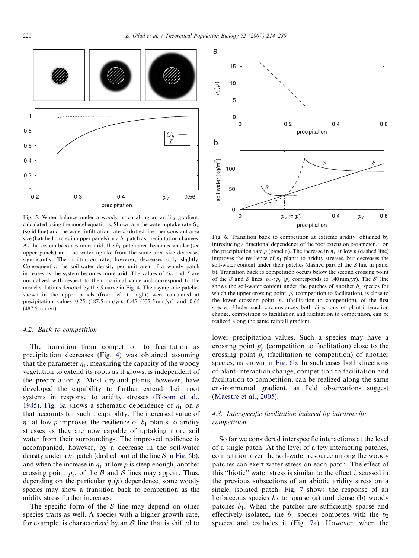<span id="page-6-0"></span>

Fig. 5. Water balance under a woody patch along an aridity gradient, calculated using the model equations. Shown are the water uptake rate  $G_w$ (solid line) and the water infiltration rate  $I$  (dotted line) per constant area size (hatched circles in upper panels) in a  $b_1$  patch as precipitation changes. As the system becomes more arid, the  $b_1$  patch area becomes smaller (see upper panels) and the water uptake from the same area size decreases significantly. The infiltration rate, however, decreases only slightly. Consequently, the soil-water density per unit area of a woody patch increases as the system becomes more arid. The values of  $G_w$  and  $\mathcal I$  are normalized with respect to their maximal value and correspond to the model solutions denoted by the  $S$  curve in [Fig. 4.](#page-5-0) The asymptotic patches shown in the upper panels (from left to right) were calculated at precipitation values 0.25 (187.5 mm/yr), 0.45 (337.5 mm/yr) and 0.65 (487.5 mm/yr).

# 4.2. Back to competition

The transition from competition to facilitation as precipitation decreases (Fig. [4\)](#page-5-0) was obtained assuming that the parameter  $\eta_1$ , measuring the capacity of the woody vegetation to extend its roots as it grows, is independent of the precipitation p. Most dryland plants, however, have developed the capability to further extend their root systems in response to aridity stresses [\(Bloom et al.,](#page-15-0) [1985\)](#page-15-0). Fig. 6a shows a schematic dependence of  $\eta_1$  on p that accounts for such a capability. The increased value of  $\eta_1$  at low p improves the resilience of  $b_1$  plants to aridity stresses as they are now capable of uptaking more soil water from their surroundings. The improved resilience is accompanied, however, by a decrease in the soil-water density under a  $b_1$  patch (dashed part of the line  $S$  in Fig. 6b), and when the increase in  $\eta_1$  at low p is steep enough, another crossing point,  $p_c$ , of the B and S lines may appear. Thus, depending on the particular  $\eta_1(p)$  dependence, some woody species may show a transition back to competition as the aridity stress further increases.

The specific form of the  $S$  line may depend on other species traits as well. A species with a higher growth rate, for example, is characterized by an  $S'$  line that is shifted to



Fig. 6. Transition back to competition at extreme aridity, obtained by introducing a functional dependence of the root extension parameter  $\eta_1$  on the precipitation rate p (panel a). The increase in  $\eta_1$  at low p (dashed line) improves the resilience of  $b_1$  plants to aridity stresses, but decreases the soil-water content under their patches (dashed part of the  $S$  line in panel b). Transition back to competition occurs below the second crossing point of the B and S lines,  $p_c < p_f$  ( $p_c$  corresponds to 140 mm/yr). The S' line shows the soil-water content under the patches of another  $b_1$  species for which the upper crossing point,  $p'_f$  (competition to facilitation), is close to the lower crossing point,  $p_c$  (facilitation to competition), of the first species. Under such circumstances both directions of plant-interaction change, competition to facilitation and facilitation to competition, can be realized along the same rainfall gradient.

lower precipitation values. Such a species may have a crossing point  $p'_{f}$  (competition to facilitation) close to the crossing point  $p_c$  (facilitation to competition) of another species, as shown in Fig. 6b. In such cases both directions of plant-interaction change, competition to facilitation and facilitation to competition, can be realized along the same environmental gradient, as field observations suggest [\(Maestre et al., 2005](#page-16-0)).

# 4.3. Interspecific facilitation induced by intraspecific competition

So far we considered interspecific interactions at the level of a single patch. At the level of a few interacting patches, competition over the soil-water resource among the woody patches can exert water stress on each patch. The effect of this ''biotic'' water stress is similar to the effect discussed in the previous subsections of an abiotic aridity stress on a single, isolated patch. [Fig. 7](#page-7-0) shows the response of an herbaceous species  $b_2$  to sparse (a) and dense (b) woody patches  $b_1$ . When the patches are sufficiently sparse and effectively isolated, the  $b_1$  species competes with the  $b_2$ species and excludes it (Fig. [7a](#page-7-0)). However, when the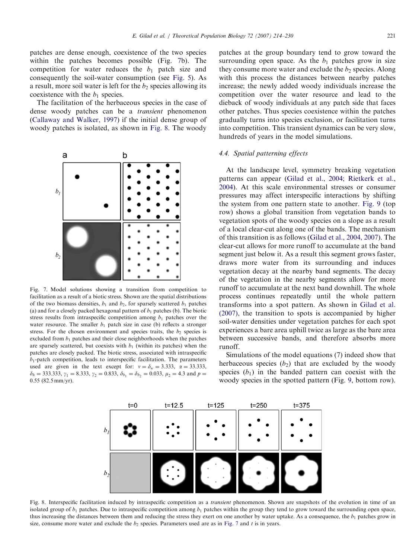<span id="page-7-0"></span>patches are dense enough, coexistence of the two species within the patches becomes possible (Fig. 7b). The competition for water reduces the  $b_1$  patch size and consequently the soil-water consumption (see [Fig. 5\)](#page-6-0). As a result, more soil water is left for the  $b_2$  species allowing its coexistence with the  $b_1$  species.

The facilitation of the herbaceous species in the case of dense woody patches can be a transient phenomenon ([Callaway and Walker, 1997\)](#page-15-0) if the initial dense group of woody patches is isolated, as shown in Fig. 8. The woody



Fig. 7. Model solutions showing a transition from competition to facilitation as a result of a biotic stress. Shown are the spatial distributions of the two biomass densities,  $b_1$  and  $b_2$ , for sparsely scattered  $b_1$  patches (a) and for a closely packed hexagonal pattern of  $b_1$  patches (b). The biotic stress results from intraspecific competition among  $b_1$  patches over the water resource. The smaller  $b_1$  patch size in case (b) reflects a stronger stress. For the chosen environment and species traits, the  $b_2$  species is excluded from  $b_1$  patches and their close neighborhoods when the patches are sparsely scattered, but coexists with  $b_1$  (within its patches) when the patches are closely packed. The biotic stress, associated with intraspecific  $b_1$ -patch competition, leads to interspecific facilitation. The parameters used are given in the text except for:  $v = \delta_w = 3.333$ ,  $\alpha = 33.333$ ,  $\delta_h = 333.333$ ,  $\gamma_1 = 8.333$ ,  $\gamma_2 = 0.833$ ,  $\delta_{b_1} = \delta_{b_2} = 0.033$ ,  $\mu_2 = 4.3$  and  $p =$ 0:55 (82.5 mm/yr).

patches at the group boundary tend to grow toward the surrounding open space. As the  $b_1$  patches grow in size they consume more water and exclude the  $b_2$  species. Along with this process the distances between nearby patches increase; the newly added woody individuals increase the competition over the water resource and lead to the dieback of woody individuals at any patch side that faces other patches. Thus species coexistence within the patches gradually turns into species exclusion, or facilitation turns into competition. This transient dynamics can be very slow, hundreds of years in the model simulations.

## 4.4. Spatial patterning effects

At the landscape level, symmetry breaking vegetation patterns can appear [\(Gilad et al., 2004; Rietkerk et al.,](#page-15-0) [2004](#page-15-0)). At this scale environmental stresses or consumer pressures may affect interspecific interactions by shifting the system from one pattern state to another. [Fig. 9](#page-8-0) (top row) shows a global transition from vegetation bands to vegetation spots of the woody species on a slope as a result of a local clear-cut along one of the bands. The mechanism of this transition is as follows ([Gilad et al., 2004, 2007\)](#page-15-0). The clear-cut allows for more runoff to accumulate at the band segment just below it. As a result this segment grows faster, draws more water from its surrounding and induces vegetation decay at the nearby band segments. The decay of the vegetation in the nearby segments allow for more runoff to accumulate at the next band downhill. The whole process continues repeatedly until the whole pattern transforms into a spot pattern. As shown in [Gilad et al.](#page-15-0) [\(2007\)](#page-15-0), the transition to spots is accompanied by higher soil-water densities under vegetation patches for each spot experiences a bare area uphill twice as large as the bare area between successive bands, and therefore absorbs more runoff.

Simulations of the model equations (7) indeed show that herbaceous species  $(b_2)$  that are excluded by the woody species  $(b_1)$  in the banded pattern can coexist with the woody species in the spotted pattern (Fig. [9,](#page-8-0) bottom row).



Fig. 8. Interspecific facilitation induced by intraspecific competition as a *transient* phenomenon. Shown are snapshots of the evolution in time of an isolated group of  $b_1$  patches. Due to intraspecific competition among  $b_1$  patches within the group they tend to grow toward the surrounding open space, thus increasing the distances between them and reducing the stress they exert on one another by water uptake. As a consequence, the  $b_1$  patches grow in size, consume more water and exclude the  $b_2$  species. Parameters used are as in Fig. 7 and t is in years.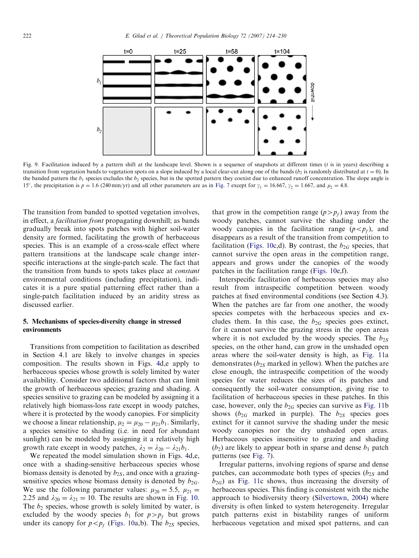<span id="page-8-0"></span>

Fig. 9. Facilitation induced by a pattern shift at the landscape level. Shown is a sequence of snapshots at different times ( $t$  is in years) describing a transition from vegetation bands to vegetation spots on a slope induced by a local clear-cut along one of the bands ( $b_2$  is randomly distributed at  $t = 0$ ). In the banded pattern the  $b_1$  species excludes the  $b_2$  species, but in the spotted pattern they coexist due to enhanced runoff concentration. The slope angle is 15°, the precipitation is  $p = 1.6$  (240 mm/yr) and all other parameters are as in [Fig. 7](#page-7-0) except for  $\gamma_1 = 16.667$ ,  $\gamma_2 = 1.667$ , and  $\mu_2 = 4.8$ .

The transition from banded to spotted vegetation involves, in effect, a facilitation front propagating downhill; as bands gradually break into spots patches with higher soil-water density are formed, facilitating the growth of herbaceous species. This is an example of a cross-scale effect where pattern transitions at the landscape scale change interspecific interactions at the single-patch scale. The fact that the transition from bands to spots takes place at constant environmental conditions (including precipitation), indicates it is a pure spatial patterning effect rather than a single-patch facilitation induced by an aridity stress as discussed earlier.

# 5. Mechanisms of species-diversity change in stressed environments

Transitions from competition to facilitation as described in Section 4.1 are likely to involve changes in species composition. The results shown in Figs. [4](#page-5-0)d,e apply to herbaceous species whose growth is solely limited by water availability. Consider two additional factors that can limit the growth of herbaceous species; grazing and shading. A species sensitive to grazing can be modeled by assigning it a relatively high biomass-loss rate except in woody patches, where it is protected by the woody canopies. For simplicity we choose a linear relationship,  $\mu_2 = \mu_{20} - \mu_{21}b_1$ . Similarly, a species sensitive to shading (i.e. in need for abundant sunlight) can be modeled by assigning it a relatively high growth rate except in woody patches,  $\lambda_2 = \lambda_{20} - \lambda_{21}b_1$ .

We repeated the model simulation shown in Figs. [4](#page-5-0)d,e, once with a shading-sensitive herbaceous species whose biomass density is denoted by  $b_{2S}$ , and once with a grazingsensitive species whose biomass density is denoted by  $b_{2G}$ . We use the following parameter values:  $\mu_{20} = 5.5$ ,  $\mu_{21} =$ 2.25 and  $\lambda_{20} = \lambda_{21} = 10$ . The results are shown in [Fig. 10](#page-9-0). The  $b_2$  species, whose growth is solely limited by water, is excluded by the woody species  $b_1$  for  $p>p_f$  but grows under its canopy for  $p < p_f$  ([Figs. 10a](#page-9-0),b). The  $b_{2S}$  species, that grow in the competition range  $(p>p_f)$  away from the woody patches, cannot survive the shading under the woody canopies in the facilitation range  $(p < p_f)$ , and disappears as a result of the transition from competition to facilitation ([Figs. 10c](#page-9-0),d). By contrast, the  $b_{2G}$  species, that cannot survive the open areas in the competition range, appears and grows under the canopies of the woody patches in the facilitation range ([Figs. 10](#page-9-0)e,f).

Interspecific facilitation of herbaceous species may also result from intraspecific competition between woody patches at fixed environmental conditions (see Section 4.3). When the patches are far from one another, the woody species competes with the herbaceous species and excludes them. In this case, the  $b_{2G}$  species goes extinct, for it cannot survive the grazing stress in the open areas where it is not excluded by the woody species. The  $b_{2S}$ species, on the other hand, can grow in the unshaded open areas where the soil-water density is high, as [Fig. 11a](#page-9-0) demonstrates ( $b_{2S}$  marked in yellow). When the patches are close enough, the intraspecific competition of the woody species for water reduces the sizes of its patches and consequently the soil-water consumption, giving rise to facilitation of herbaceous species in these patches. In this case, however, only the  $b_{2G}$  species can survive as [Fig. 11](#page-9-0)b shows ( $b_{2G}$  marked in purple). The  $b_{2S}$  species goes extinct for it cannot survive the shading under the mesic woody canopies nor the dry unshaded open areas. Herbaceous species insensitive to grazing and shading  $(b_2)$  are likely to appear both in sparse and dense  $b_1$  patch patterns (see [Fig. 7](#page-7-0)).

Irregular patterns, involving regions of sparse and dense patches, can accommodate both types of species  $(b_{2S}$  and  $b_{2G}$ ) as [Fig. 11](#page-9-0)c shows, thus increasing the diversity of herbaceous species. This finding is consistent with the niche approach to biodiversity theory ([Silvertown, 2004](#page-16-0)) where diversity is often linked to system heterogeneity. Irregular patch patterns exist in bistability ranges of uniform herbaceous vegetation and mixed spot patterns, and can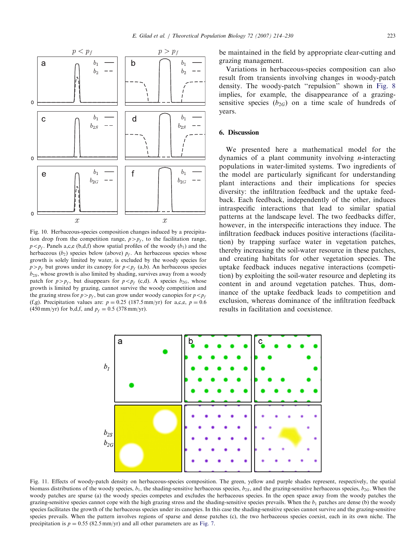<span id="page-9-0"></span>

Fig. 10. Herbaceous-species composition changes induced by a precipitation drop from the competition range,  $p>p_f$ , to the facilitation range,  $p < p_f$ . Panels a,c,e (b,d,f) show spatial profiles of the woody  $(b_1)$  and the herbaceous ( $b_2$ ) species below (above)  $p_f$ . An herbaceous species whose growth is solely limited by water, is excluded by the woody species for  $p>p_f$  but grows under its canopy for  $p < p_f$  (a,b). An herbaceous species  $b_{2S}$ , whose growth is also limited by shading, survives away from a woody patch for  $p>p_f$ , but disappears for  $p < p_f$  (c,d). A species  $b_{2G}$ , whose growth is limited by grazing, cannot survive the woody competition and the grazing stress for  $p>p_f$ , but can grow under woody canopies for  $p < p_f$ (f,g). Precipitation values are:  $p = 0.25$  (187.5 mm/yr) for a,c,e,  $p = 0.6$ (450 mm/yr) for b,d,f, and  $p_f = 0.5$  (378 mm/yr).

be maintained in the field by appropriate clear-cutting and grazing management.

Variations in herbaceous-species composition can also result from transients involving changes in woody-patch density. The woody-patch ''repulsion'' shown in [Fig. 8](#page-7-0) implies, for example, the disappearance of a grazingsensitive species  $(b_{2G})$  on a time scale of hundreds of years.

# 6. Discussion

We presented here a mathematical model for the dynamics of a plant community involving *n*-interacting populations in water-limited systems. Two ingredients of the model are particularly significant for understanding plant interactions and their implications for species diversity: the infiltration feedback and the uptake feedback. Each feedback, independently of the other, induces intraspecific interactions that lead to similar spatial patterns at the landscape level. The two feedbacks differ, however, in the interspecific interactions they induce. The infiltration feedback induces positive interactions (facilitation) by trapping surface water in vegetation patches, thereby increasing the soil-water resource in these patches, and creating habitats for other vegetation species. The uptake feedback induces negative interactions (competition) by exploiting the soil-water resource and depleting its content in and around vegetation patches. Thus, dominance of the uptake feedback leads to competition and exclusion, whereas dominance of the infiltration feedback results in facilitation and coexistence.



Fig. 11. Effects of woody-patch density on herbaceous-species composition. The green, yellow and purple shades represent, respectively, the spatial biomass distributions of the woody species,  $b_1$ , the shading-sensitive herbaceous species,  $b_{2S}$ , and the grazing-sensitive herbaceous species,  $b_{2G}$ . When the woody patches are sparse (a) the woody species competes and excludes the herbaceous species. In the open space away from the woody patches the grazing-sensitive species cannot cope with the high grazing stress and the shading-sensitive species prevails. When the  $b_1$  patches are dense (b) the woody species facilitates the growth of the herbaceous species under its canopies. In this case the shading-sensitive species cannot survive and the grazing-sensitive species prevails. When the pattern involves regions of sparse and dense patches (c), the two herbaceous species coexist, each in its own niche. The precipitation is  $p = 0.55$  (82.5 mm/yr) and all other parameters are as [Fig. 7.](#page-7-0)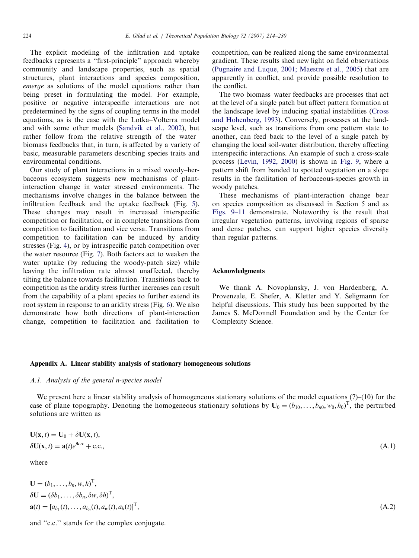The explicit modeling of the infiltration and uptake feedbacks represents a ''first-principle'' approach whereby community and landscape properties, such as spatial structures, plant interactions and species composition, emerge as solutions of the model equations rather than being preset in formulating the model. For example, positive or negative interspecific interactions are not predetermined by the signs of coupling terms in the model equations, as is the case with the Lotka–Volterra model and with some other models [\(Sandvik et al., 2002\)](#page-16-0), but rather follow from the relative strength of the water– biomass feedbacks that, in turn, is affected by a variety of basic, measurable parameters describing species traits and environmental conditions.

Our study of plant interactions in a mixed woody–herbaceous ecosystem suggests new mechanisms of plantinteraction change in water stressed environments. The mechanisms involve changes in the balance between the infiltration feedback and the uptake feedback (Fig. [5\)](#page-6-0). These changes may result in increased interspecific competition or facilitation, or in complete transitions from competition to facilitation and vice versa. Transitions from competition to facilitation can be induced by aridity stresses (Fig. [4](#page-5-0)), or by intraspecific patch competition over the water resource (Fig. [7\)](#page-7-0). Both factors act to weaken the water uptake (by reducing the woody-patch size) while leaving the infiltration rate almost unaffected, thereby tilting the balance towards facilitation. Transitions back to competition as the aridity stress further increases can result from the capability of a plant species to further extend its root system in response to an aridity stress (Fig. [6\)](#page-6-0). We also demonstrate how both directions of plant-interaction change, competition to facilitation and facilitation to competition, can be realized along the same environmental gradient. These results shed new light on field observations [\(Pugnaire and Luque, 2001; Maestre et al., 2005\)](#page-16-0) that are apparently in conflict, and provide possible resolution to the conflict.

The two biomass–water feedbacks are processes that act at the level of a single patch but affect pattern formation at the landscape level by inducing spatial instabilities ([Cross](#page-15-0) [and Hohenberg, 1993](#page-15-0)). Conversely, processes at the landscape level, such as transitions from one pattern state to another, can feed back to the level of a single patch by changing the local soil-water distribution, thereby affecting interspecific interactions. An example of such a cross-scale process ([Levin, 1992, 2000\)](#page-16-0) is shown in [Fig. 9,](#page-8-0) where a pattern shift from banded to spotted vegetation on a slope results in the facilitation of herbaceous-species growth in woody patches.

These mechanisms of plant-interaction change bear on species composition as discussed in Section 5 and as [Figs. 9–11](#page-8-0) demonstrate. Noteworthy is the result that irregular vegetation patterns, involving regions of sparse and dense patches, can support higher species diversity than regular patterns.

#### Acknowledgments

We thank A. Novoplansky, J. von Hardenberg, A. Provenzale, E. Shefer, A. Kletter and Y. Seligmann for helpful discussions. This study has been supported by the James S. McDonnell Foundation and by the Center for Complexity Science.

# Appendix A. Linear stability analysis of stationary homogeneous solutions

# A.1. Analysis of the general n-species model

We present here a linear stability analysis of homogeneous stationary solutions of the model equations (7)–(10) for the case of plane topography. Denoting the homogeneous stationary solutions by  $U_0 = (b_{10}, \ldots, b_{n0}, w_0, h_0)^T$ , the perturbed solutions are written as

$$
\mathbf{U}(\mathbf{x},t) = \mathbf{U}_0 + \delta \mathbf{U}(\mathbf{x},t),
$$
  
\n
$$
\delta \mathbf{U}(\mathbf{x},t) = \mathbf{a}(t)e^{ik \cdot \mathbf{x}} + \text{c.c.},
$$
\n(A.1)

where

$$
\mathbf{U} = (b_1, \dots, b_n, w, h)^{\mathrm{T}},
$$
  
\n
$$
\delta \mathbf{U} = (\delta b_1, \dots, \delta b_n, \delta w, \delta h)^{\mathrm{T}},
$$
  
\n
$$
\mathbf{a}(t) = [a_{b_1}(t), \dots, a_{b_n}(t), a_w(t), a_h(t)]^{\mathrm{T}}
$$

and ''c.c.'' stands for the complex conjugate.

 $T,$  (A.2)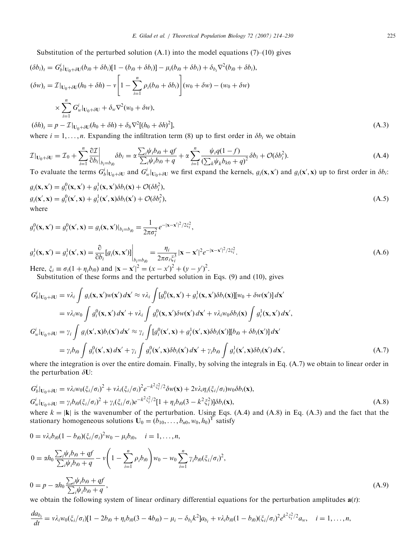Substitution of the perturbed solution  $(A.1)$  into the model equations  $(7)$ – $(10)$  gives

$$
(\delta b_i)_t = G_b^i|_{U_0 + \delta U}(b_{i0} + \delta b_i)[1 - (b_{i0} + \delta b_i)] - \mu_i(b_{i0} + \delta b_i) + \delta_{b_i} \nabla^2 (b_{i0} + \delta b_i),
$$
  
\n
$$
(\delta w)_t = \mathcal{I}|_{U_0 + \delta U}(h_0 + \delta h) - v \left[1 - \sum_{i=1}^n \rho_i (b_{i0} + \delta b_i)\right](w_0 + \delta w) - (w_0 + \delta w)
$$
  
\n
$$
\times \sum_{i=1}^n G_w^i|_{U_0 + \delta U} + \delta_w \nabla^2 (w_0 + \delta w),
$$

$$
(\delta h)_t = p - \mathcal{I}|_{U_0 + \delta U}(h_0 + \delta h) + \delta_h \nabla^2 [(h_0 + \delta h)^2],
$$
\n(A.3)

\nwhere  $i = 1, \ldots, n$ . Expanding the inflation term (8) up to first order in  $\delta h$ , we obtain

where  $i = 1, \ldots, n$ . Expanding the infiltration term (8) up to first order in  $\delta b_i$  we obtain

$$
\mathcal{I}|_{\mathbf{U}_0 + \delta \mathbf{U}} = \mathcal{I}_0 + \sum_{i=1}^n \frac{\partial \mathcal{I}}{\partial b_i}\Big|_{b_i = b_{i0}} \delta b_i = \alpha \frac{\sum_i \psi_i b_{i0} + qf}{\sum_i \psi_i b_{i0} + q} + \alpha \sum_{i=1}^n \frac{\psi_i q (1 - f)}{(\sum_k \psi_k b_{k0} + q)^2} \delta b_i + \mathcal{O}(\delta b_i^2).
$$
\n(A.4)

To evaluate the terms  $G_b^i|_{U_0+\delta U}$  and  $G_w^i|_{U_0+\delta U}$  we first expand the kernels,  $g_i(\mathbf{x}, \mathbf{x}')$  and  $g_i(\mathbf{x}', \mathbf{x})$  up to first order in  $\delta b_i$ :

$$
g_i(\mathbf{x}, \mathbf{x}') = g_i^0(\mathbf{x}, \mathbf{x}') + g_i^1(\mathbf{x}, \mathbf{x}') \delta b_i(\mathbf{x}) + \mathcal{O}(\delta b_i^2),
$$
  
\n
$$
g_i(\mathbf{x}', \mathbf{x}) = g_i^0(\mathbf{x}', \mathbf{x}) + g_i^1(\mathbf{x}', \mathbf{x}) \delta b_i(\mathbf{x}') + \mathcal{O}(\delta b_i^2),
$$
  
\nwhere\n
$$
(A.5)
$$

$$
g_i^0(\mathbf{x}, \mathbf{x}') = g_i^0(\mathbf{x}', \mathbf{x}) = g_i(\mathbf{x}, \mathbf{x}')|_{b_i = b_{i0}} = \frac{1}{2\pi\sigma_i^2} e^{-|\mathbf{x} - \mathbf{x}'|^2 / 2\xi_i^2},
$$
  

$$
g_i^1(\mathbf{x}, \mathbf{x}') = g_i^1(\mathbf{x}', \mathbf{x}) = \frac{\partial}{\partial} [\mathbf{g}(\mathbf{x}, \mathbf{x}')] = \frac{\eta_i}{\sqrt{2\pi\sigma_i^2}} \frac{\mathbf{x} - \mathbf{x}'^2 / 2\xi_i^2}{\mathbf{x} - \mathbf{x}'^2 / 2\xi_i^2}
$$

 $g_i^1(\mathbf{x}, \mathbf{x}') = g_i^1(\mathbf{x}', \mathbf{x}) = \frac{\partial}{\partial b_i} [g_i(\mathbf{x}, \mathbf{x}')] \Big|_{b_i = b_{i0}}$  $=\frac{\eta_i}{\eta}$  $2\pi\sigma_i\xi_i^3$  $|\mathbf{x}-\mathbf{x}'|^2 e^{-|\mathbf{x}-\mathbf{x}'|}$  $1^2/2\xi_i^2$  $\tilde{i}$ . (A.6) Here,  $\xi_i \equiv \sigma_i (1 + \eta_i b_{i0})$  and  $|\mathbf{x} - \mathbf{x}'|^2 = (x - x')^2 + (y - y')^2$ .

Substitution of these forms and the perturbed solution in Eqs. (9) and (10), gives

$$
G_b^i|_{\mathbf{U}_0 + \delta \mathbf{U}} = v\lambda_i \int g_i(\mathbf{x}, \mathbf{x}')w(\mathbf{x}') d\mathbf{x}' \approx v\lambda_i \int [g_i^0(\mathbf{x}, \mathbf{x}') + g_i^1(\mathbf{x}, \mathbf{x}') \delta b_i(\mathbf{x})][w_0 + \delta w(\mathbf{x}')] d\mathbf{x}'
$$
  
\n
$$
= v\lambda_i w_0 \int g_i^0(\mathbf{x}, \mathbf{x}') d\mathbf{x}' + v\lambda_i \int g_i^0(\mathbf{x}, \mathbf{x}') \delta w(\mathbf{x}') d\mathbf{x}' + v\lambda_i w_0 \delta b_i(\mathbf{x}) \int g_i^1(\mathbf{x}, \mathbf{x}') d\mathbf{x}',
$$
  
\n
$$
G_w^i|_{\mathbf{U}_0 + \delta \mathbf{U}} = \gamma_i \int g_i(\mathbf{x}', \mathbf{x}) b_i(\mathbf{x}') d\mathbf{x}' \approx \gamma_i \int [g_i^0(\mathbf{x}', \mathbf{x}) + g_i^1(\mathbf{x}', \mathbf{x}) \delta b_i(\mathbf{x}')][b_i\mathbf{x}] + \delta b_i(\mathbf{x}') d\mathbf{x}'
$$
  
\n
$$
= \gamma_i b_{i0} \int g_i^0(\mathbf{x}', \mathbf{x}) d\mathbf{x}' + \gamma_i \int g_i^0(\mathbf{x}', \mathbf{x}) \delta b_i(\mathbf{x}') d\mathbf{x}' + \gamma_i b_{i0} \int g_i^1(\mathbf{x}', \mathbf{x}) \delta b_i(\mathbf{x}') d\mathbf{x}',
$$
\n(A.7)  
\nwhere the integration is over the entire domain. Finally, by solving the integrals in Eq. (A.7) we obtain to linear order in

where the integration is over the entire domain. Finally, by solving the integrals in Eq. (A.7) we obtain to linear order in the perturbation  $\delta U$ :

$$
G_b^i|_{\mathbf{U}_0 + \delta \mathbf{U}} = v \lambda_i w_0 (\xi_i / \sigma_i)^2 + v \lambda_i (\xi_i / \sigma_i)^2 e^{-k^2 \xi_i^2 / 2} \delta w(\mathbf{x}) + 2v \lambda_i \eta_i (\xi_i / \sigma_i) w_0 \delta b_i(\mathbf{x}),
$$
  
\n
$$
G_w^i|_{\mathbf{U}_0 + \delta \mathbf{U}} = \gamma_i b_{i0} (\xi_i / \sigma_i)^2 + \gamma_i (\xi_i / \sigma_i) e^{-k^2 \xi_i^2 / 2} [1 + \eta_i b_{i0} (3 - k^2 \xi_i^2)] \delta b_i(\mathbf{x}),
$$
\n(A.8)

where  $k = |\mathbf{k}|$  is the wavenumber of the perturbation. Using Eqs. (A.4) and (A.8) in Eq. (A.3) and the fact that the stationary homogeneous solutions  $\mathbf{U}_0 = (\overline{b}_{10}, \dots, \overline{b}_{n0}, w_0, h_0)^\text{T}$  satisfy

$$
0 = v\lambda_i b_{i0} (1 - b_{i0}) (\xi_i/\sigma_i)^2 w_0 - \mu_i b_{i0}, \quad i = 1, ..., n,
$$
  
\n
$$
0 = \alpha h_0 \frac{\sum_i \psi_i b_{i0} + qf}{\sum_i \psi_i b_{i0} + q} - v \left( 1 - \sum_{i=1}^n \rho_i b_{i0} \right) w_0 - w_0 \sum_{i=1}^n \gamma_i b_{i0} (\xi_i/\sigma_i)^2,
$$
  
\n
$$
0 = p - \alpha h_0 \frac{\sum_i \psi_i b_{i0} + qf}{\sum_i \psi_i b_{i0} + q},
$$
\n(A.9)

we obtain the following system of linear ordinary differential equations for the perturbation amplitudes  $a(t)$ :

$$
\frac{da_{b_i}}{dt} = v\lambda_i w_0(\xi_i/\sigma_i)[1-2b_{i0}+\eta_i b_{i0}(3-4b_{i0})-\mu_i-\delta_{b_i}k^2]a_{b_i}+v\lambda_i b_{i0}(1-b_{i0})(\xi_i/\sigma_i)^2 e^{k^2\xi_i^2/2}a_w, \quad i=1,\ldots,n,
$$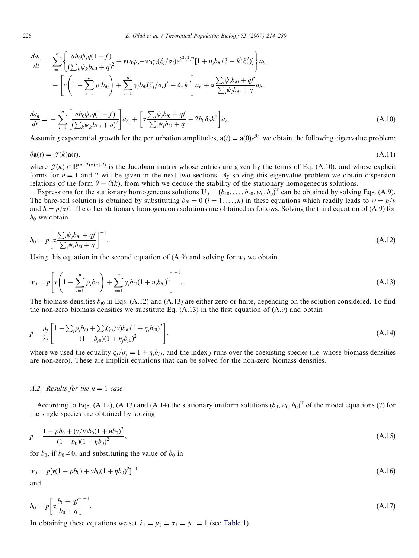226 E. Gilad et al. / Theoretical Population Biology 72 (2007) 214–230

$$
\frac{da_w}{dt} = \sum_{i=1}^n \left\{ \frac{\alpha h_0 \psi_i q (1-f)}{\left(\sum_k \psi_k b_{k0} + q\right)^2} + v w_0 \rho_i - w_0 \gamma_i \left(\xi_i / \sigma_i\right) e^{k^2 \xi_i^2 / 2} [1 + \eta_i b_{i0} (3 - k^2 \xi_i^2)] \right\} a_{b_i}
$$
  
 
$$
- \left[ v \left( 1 - \sum_{i=1}^n \rho_i b_{i0} \right) + \sum_{i=1}^n \gamma_i b_{i0} \left(\xi_i / \sigma_i\right)^2 + \delta_w k^2 \right] a_w + \alpha \frac{\sum_i \psi_i b_{i0} + qf}{\sum_i \psi_i b_{i0} + q} a_h,
$$

$$
\frac{da_h}{dt} = -\sum_{i=1}^n \left[ \frac{\alpha h_0 \psi_i q (1-f)}{(\sum_k \psi_k b_{k0} + q)^2} \right] a_{b_i} + \left[ \alpha \frac{\sum_i \psi_i b_{i0} + q f}{\sum_i \psi_i b_{i0} + q} - 2h_0 \delta_h k^2 \right] a_h.
$$
\n(A.10)

Assuming exponential growth for the perturbation amplitudes,  $\mathbf{a}(t) = \mathbf{a}(0)e^{\theta t}$ , we obtain the following eigenvalue problem:

$$
\theta \mathbf{a}(t) = \mathcal{J}(k)\mathbf{a}(t),\tag{A.11}
$$

where  $\mathcal{J}(k) \in \mathbb{R}^{(n+2)\times (n+2)}$  is the Jacobian matrix whose entries are given by the terms of Eq. (A.10), and whose explicit forms for  $n = 1$  and 2 will be given in the next two sections. By solving this eigenvalue problem we obtain dispersion relations of the form  $\theta = \theta(k)$ , from which we deduce the stability of the stationary homogeneous solutions.

Expressions for the stationary homogeneous solutions  $U_0 = (b_{10}, \ldots, b_{n0}, w_0, h_0)^T$  can be obtained by solving Eqs. (A.9). The bare-soil solution is obtained by substituting  $b_{i0} = 0$  ( $i = 1, ..., n$ ) in these equations which readily leads to  $w = p/v$ and  $h = p/\alpha f$ . The other stationary homogeneous solutions are obtained as follows. Solving the third equation of (A.9) for  $h_0$  we obtain

$$
h_0 = p \left[ \alpha \frac{\sum_i \psi_i b_{i0} + qf}{\sum_i \psi_i b_{i0} + q} \right]^{-1}.
$$
\n(A.12)

Using this equation in the second equation of (A.9) and solving for  $w_0$  we obtain

$$
w_0 = p \left[ v \left( 1 - \sum_{i=1}^n \rho_i b_{i0} \right) + \sum_{i=1}^n \gamma_i b_{i0} (1 + \eta_i b_{i0})^2 \right]^{-1}.
$$
\n(A.13)

The biomass densities  $b_{i0}$  in Eqs. (A.12) and (A.13) are either zero or finite, depending on the solution considered. To find the non-zero biomass densities we substitute Eq.  $(A.13)$  in the first equation of  $(A.9)$  and obtain

$$
p = \frac{\mu_j}{\lambda_j} \left[ \frac{1 - \sum_i \rho_i b_{i0} + \sum_i (\gamma_i / \nu) b_{i0} (1 + \eta_i b_{i0})^2}{(1 - b_{j0})(1 + \eta_j b_{j0})^2} \right],
$$
\n(A.14)

where we used the equality  $\xi_i/\sigma_i=1 + \eta_i b_{i0}$ , and the index *j* runs over the coexisting species (i.e. whose biomass densities are non-zero). These are implicit equations that can be solved for the non-zero biomass densities.

## A.2. Results for the  $n = 1$  case

According to Eqs. (A.12), (A.13) and (A.14) the stationary uniform solutions  $(b_0, w_0, h_0)^T$  of the model equations (7) for the single species are obtained by solving

$$
p = \frac{1 - \rho b_0 + (\gamma/\nu)b_0(1 + \eta b_0)^2}{(1 - b_0)(1 + \eta b_0)^2},
$$
\n(A.15)

for  $b_0$ , if  $b_0 \neq 0$ , and substituting the value of  $b_0$  in

$$
w_0 = p[v(1 - \rho b_0) + \gamma b_0 (1 + \eta b_0)^2]^{-1}
$$
\n(A.16)

and

$$
h_0 = p \left[ \alpha \frac{b_0 + qf}{b_0 + q} \right]^{-1}.
$$
\n(A.17)

In obtaining these equations we set  $\lambda_1 = \mu_1 = \sigma_1 = \psi_1 = 1$  (see [Table 1](#page-3-0)).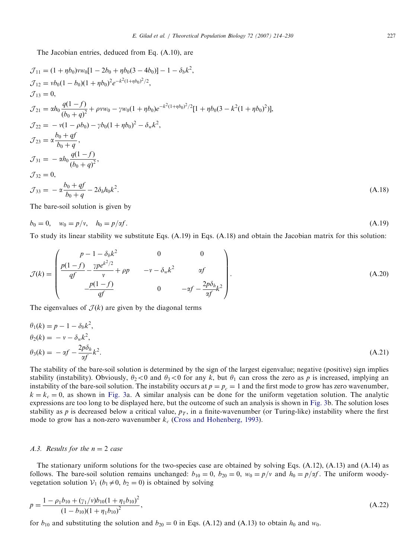The Jacobian entries, deduced from Eq. (A.10), are

$$
\mathcal{J}_{11} = (1 + \eta b_0) v w_0 [1 - 2b_0 + \eta b_0 (3 - 4b_0)] - 1 - \delta_b k^2,
$$
  
\n
$$
\mathcal{J}_{12} = v b_0 (1 - b_0) (1 + \eta b_0)^2 e^{-k^2 (1 + \eta b_0)^2 / 2},
$$
  
\n
$$
\mathcal{J}_{13} = 0,
$$
  
\n
$$
\mathcal{J}_{21} = \alpha h_0 \frac{q(1 - f)}{(b_0 + q)^2} + \rho v w_0 - \gamma w_0 (1 + \eta b_0) e^{-k^2 (1 + \eta b_0)^2 / 2} [1 + \eta b_0 (3 - k^2 (1 + \eta b_0)^2)],
$$
  
\n
$$
\mathcal{J}_{22} = -v (1 - \rho b_0) - \gamma b_0 (1 + \eta b_0)^2 - \delta_w k^2,
$$
  
\n
$$
\mathcal{J}_{23} = \alpha \frac{b_0 + qf}{b_0 + q},
$$
  
\n
$$
\mathcal{J}_{31} = -\alpha h_0 \frac{q(1 - f)}{(b_0 + q)^2},
$$
  
\n
$$
\mathcal{J}_{32} = 0,
$$
  
\n
$$
\mathcal{J}_{33} = -\alpha \frac{b_0 + qf}{b_0 + q} - 2\delta_h h_0 k^2.
$$
\n(A.18)

The bare-soil solution is given by

$$
b_0 = 0, \quad w_0 = p/v, \quad h_0 = p/\alpha f. \tag{A.19}
$$

To study its linear stability we substitute Eqs. (A.19) in Eqs. (A.18) and obtain the Jacobian matrix for this solution:

$$
\mathcal{J}(k) = \begin{pmatrix} p-1-\delta_b k^2 & 0 & 0\\ \frac{p(1-f)}{qf} - \frac{\gamma p e^{k^2/2}}{v} + \rho p & -v - \delta_w k^2 & \text{or} \\ \frac{p(1-f)}{qf} & 0 & -\alpha f - \frac{2p\delta_h}{\alpha f} k^2 \end{pmatrix} . \tag{A.20}
$$

The eigenvalues of  $\mathcal{J}(k)$  are given by the diagonal terms

$$
\theta_1(k) = p - 1 - \delta_b k^2,
$$
  
\n
$$
\theta_2(k) = -v - \delta_w k^2,
$$
  
\n
$$
\theta_3(k) = -\alpha f - \frac{2p\delta_h}{\alpha f}k^2.
$$
\n(A.21)

The stability of the bare-soil solution is determined by the sign of the largest eigenvalue; negative (positive) sign implies stability (instability). Obviously,  $\theta_2 < 0$  and  $\theta_3 < 0$  for any k, but  $\theta_1$  can cross the zero as p is increased, implying an instability of the bare-soil solution. The instability occurs at  $p = p_c = 1$  and the first mode to grow has zero wavenumber,  $k = k_c = 0$ , as shown in [Fig. 3a](#page-4-0). A similar analysis can be done for the uniform vegetation solution. The analytic expressions are too long to be displayed here, but the outcome of such an analysis is shown in [Fig. 3b](#page-4-0). The solution loses stability as p is decreased below a critical value,  $p<sub>T</sub>$ , in a finite-wavenumber (or Turing-like) instability where the first mode to grow has a non-zero wavenumber  $k_c$  [\(Cross and Hohenberg, 1993\)](#page-15-0).

# A.3. Results for the  $n = 2$  case

The stationary uniform solutions for the two-species case are obtained by solving Eqs. (A.12), (A.13) and (A.14) as follows. The bare-soil solution remains unchanged:  $b_{10} = 0$ ,  $b_{20} = 0$ ,  $w_0 = p/v$  and  $h_0 = p/\alpha f$ . The uniform woodyvegetation solution  $V_1$  ( $b_1 \neq 0$ ,  $b_2 = 0$ ) is obtained by solving

$$
p = \frac{1 - \rho_1 b_{10} + (\gamma_1/\nu) b_{10} (1 + \eta_1 b_{10})^2}{(1 - b_{10})(1 + \eta_1 b_{10})^2},
$$
\n(A.22)

for  $b_{10}$  and substituting the solution and  $b_{20} = 0$  in Eqs. (A.12) and (A.13) to obtain  $h_0$  and  $w_0$ .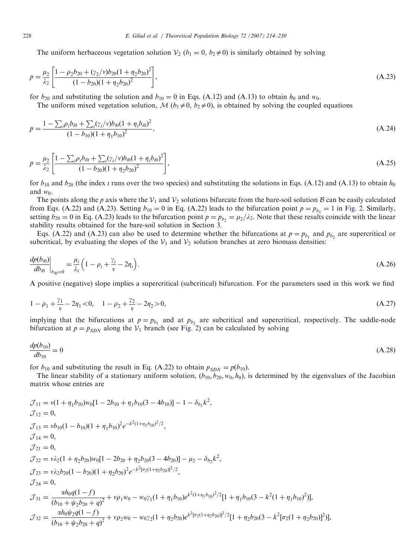The uniform herbaceous vegetation solution  $V_2$  ( $b_1 = 0$ ,  $b_2 \neq 0$ ) is similarly obtained by solving

$$
p = \frac{\mu_2}{\lambda_2} \left[ \frac{1 - \rho_2 b_{20} + (\gamma_2/\nu) b_{20} (1 + \eta_2 b_{20})^2}{(1 - b_{20}) (1 + \eta_2 b_{20})^2} \right],
$$
\n(A.23)

for  $b_{20}$  and substituting the solution and  $b_{10} = 0$  in Eqs. (A.12) and (A.13) to obtain  $h_0$  and  $w_0$ .

The uniform mixed vegetation solution,  $\mathcal{M}(b_1\neq 0, b_2\neq 0)$ , is obtained by solving the coupled equations

$$
p = \frac{1 - \sum_{i} \rho_i b_{i0} + \sum_{i} (\gamma_i / \nu) b_{i0} (1 + \eta_i b_{i0})^2}{(1 - b_{10})(1 + \eta_1 b_{10})^2},
$$
\n(A.24)

$$
p = \frac{\mu_2}{\lambda_2} \left[ \frac{1 - \sum_i \rho_i b_{i0} + \sum_i (\gamma_i / \nu) b_{i0} (1 + \eta_i b_{i0})^2}{(1 - b_{20})(1 + \eta_2 b_{20})^2} \right],
$$
\n(A.25)

for  $b_{10}$  and  $b_{20}$  (the index  $\iota$  runs over the two species) and substituting the solutions in Eqs. (A.12) and (A.13) to obtain  $h_0$ and  $w_0$ .

The points along the p axis where the  $V_1$  and  $V_2$  solutions bifurcate from the bare-soil solution B can be easily calculated from Eqs. (A.22) and (A.23). Setting  $b_{10} = 0$  in Eq. (A.22) leads to the bifurcation point  $p = p_{b_1} = 1$  in [Fig. 2.](#page-4-0) Similarly, setting  $b_{20} = 0$  in Eq. (A.23) leads to the bifurcation point  $p = p_{b_2} = \frac{\mu_2}{\lambda_2}$ . Note that these results coincide with the linear stability results obtained for the bare-soil solution in Section 3.

Eqs. (A.22) and (A.23) can also be used to determine whether the bifurcations at  $p = p_{b_1}$  and  $p_{b_2}$  are supercritical or subcritical, by evaluating the slopes of the  $V_1$  and  $V_2$  solution branches at zero biomass densities:

$$
\frac{dp(b_{i0})}{db_{i0}}\bigg|_{b_{i0}=0} = \frac{\mu_i}{\lambda_i} \Big(1 - \rho_i + \frac{\gamma_i}{\nu} - 2\eta_i\Big). \tag{A.26}
$$

A positive (negative) slope implies a supercritical (subcritical) bifurcation. For the parameters used in this work we find

$$
1 - \rho_1 + \frac{\gamma_1}{\nu} - 2\eta_1 < 0, \quad 1 - \rho_2 + \frac{\gamma_2}{\nu} - 2\eta_2 > 0,\tag{A.27}
$$

implying that the bifurcations at  $p = p_{b_1}$  and at  $p_{b_2}$  are subcritical and supercritical, respectively. The saddle-node bifurcation at  $p = p_{SDN}$  along the  $V_1$  branch (see [Fig. 2\)](#page-4-0) can be calculated by solving

$$
\frac{dp(b_{10})}{db_{10}} = 0\tag{A.28}
$$

for  $b_{10}$  and substituting the result in Eq. (A.22) to obtain  $p_{SDN} = p(b_{10})$ .

The linear stability of a stationary uniform solution,  $(b_{10}, b_{20}, w_0, h_0)$ , is determined by the eigenvalues of the Jacobian matrix whose entries are

$$
\mathcal{J}_{11} = v(1 + \eta_1 b_{10})w_0[1 - 2b_{10} + \eta_1 b_{10}(3 - 4b_{10})] - 1 - \delta_{b_1}k^2,
$$
  
\n
$$
\mathcal{J}_{12} = 0,
$$
  
\n
$$
\mathcal{J}_{13} = v b_{10}(1 - b_{10})(1 + \eta_1 b_{10})^2 e^{-k^2(1 + \eta_1 b_{10})^2/2},
$$
  
\n
$$
\mathcal{J}_{14} = 0,
$$
  
\n
$$
\mathcal{J}_{21} = 0,
$$
  
\n
$$
\mathcal{J}_{22} = v \lambda_2(1 + \eta_2 b_{20})w_0[1 - 2b_{20} + \eta_2 b_{20}(3 - 4b_{20})] - \mu_2 - \delta_{b_2}k^2,
$$
  
\n
$$
\mathcal{J}_{23} = v \lambda_2 b_{20}(1 - b_{20})(1 + \eta_2 b_{20})^2 e^{-k^2[\sigma_2(1 + \eta_2 b_{20})]^2/2},
$$
  
\n
$$
\mathcal{J}_{24} = 0,
$$
  
\n
$$
\mathcal{J}_{31} = \frac{\alpha h_0 q(1 - f)}{(b_{10} + \psi_2 b_{20} + q)^2} + v \rho_1 w_0 - w_0 \gamma_1 (1 + \eta_1 b_{10}) e^{k^2(1 + \eta_1 b_{10})^2/2} [1 + \eta_1 b_{10}(3 - k^2(1 + \eta_1 b_{10})^2)],
$$
  
\n
$$
\mathcal{J}_{32} = \frac{\alpha h_0 \psi_2 q(1 - f)}{(b_{10} + \psi_2 b_{20} + q)^2} + v \rho_2 w_0 - w_0 \gamma_2 (1 + \eta_2 b_{20}) e^{k^2 [\sigma_2(1 + \eta_2 b_{20})]^2/2} [1 + \eta_2 b_{20}(3 - k^2[\sigma_2(1 + \eta_2 b_{20})]^2)],
$$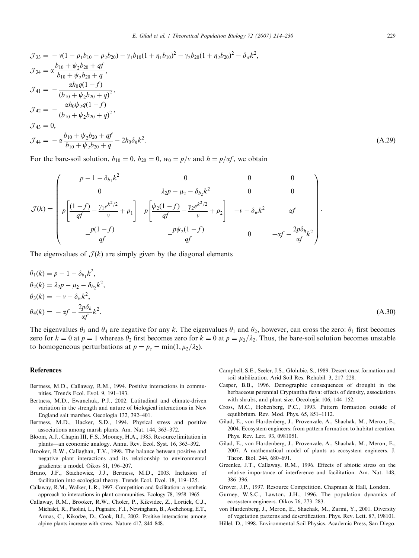<span id="page-15-0"></span>
$$
\mathcal{J}_{33} = -v(1 - \rho_1 b_{10} - \rho_2 b_{20}) - \gamma_1 b_{10} (1 + \eta_1 b_{10})^2 - \gamma_2 b_{20} (1 + \eta_2 b_{20})^2 - \delta_w k^2,
$$
  
\n
$$
\mathcal{J}_{34} = \alpha \frac{b_{10} + \psi_2 b_{20} + qf}{b_{10} + \psi_2 b_{20} + q},
$$
  
\n
$$
\mathcal{J}_{41} = -\frac{\alpha h_0 q (1 - f)}{(b_{10} + \psi_2 b_{20} + q)^2},
$$
  
\n
$$
\mathcal{J}_{42} = -\frac{\alpha h_0 \psi_2 q (1 - f)}{(b_{10} + \psi_2 b_{20} + q)^2},
$$
  
\n
$$
\mathcal{J}_{43} = 0,
$$
  
\n
$$
\mathcal{J}_{44} = -\alpha \frac{b_{10} + \psi_2 b_{20} + qf}{b_{10} + \psi_2 b_{20} + q} - 2h_0 \delta_h k^2.
$$
\n(A.29)

For the bare-soil solution,  $b_{10} = 0$ ,  $b_{20} = 0$ ,  $w_0 = p/v$  and  $h = p/\alpha f$ , we obtain

$$
\mathcal{J}(k) = \begin{pmatrix} p - 1 - \delta_{b_1} k^2 & 0 & 0 & 0 \\ 0 & \lambda_2 p - \mu_2 - \delta_{b_2} k^2 & 0 & 0 \\ p \left[ \frac{(1 - f)}{qf} - \frac{\gamma_1 e^{k^2/2}}{v} + \rho_1 \right] & p \left[ \frac{\psi_2 (1 - f)}{qf} - \frac{\gamma_2 e^{k^2/2}}{v} + \rho_2 \right] & -v - \delta_w k^2 & \text{a}f \\ \frac{p(1 - f)}{qf} & \frac{p\psi_2 (1 - f)}{qf} & 0 & -\alpha f - \frac{2p\delta_h}{\alpha f} k^2 \end{pmatrix}.
$$

The eigenvalues of  $\mathcal{J}(k)$  are simply given by the diagonal elements

$$
\theta_1(k) = p - 1 - \delta_{b_1} k^2,
$$
  
\n
$$
\theta_2(k) = \lambda_2 p - \mu_2 - \delta_{b_2} k^2,
$$
  
\n
$$
\theta_3(k) = -\nu - \delta_w k^2,
$$
  
\n
$$
\theta_4(k) = -\alpha f - \frac{2p\delta_h}{\alpha f} k^2.
$$
\n(A.30)

The eigenvalues  $\theta_3$  and  $\theta_4$  are negative for any k. The eigenvalues  $\theta_1$  and  $\theta_2$ , however, can cross the zero:  $\theta_1$  first becomes zero for  $k = 0$  at  $p = 1$  whereas  $\theta_2$  first becomes zero for  $k = 0$  at  $p = \mu_2/\lambda_2$ . Thus, the bare-soil solution becomes unstable to homogeneous perturbations at  $p = p_c = \min(1, \mu_2/\lambda_2)$ .

#### References

- Bertness, M.D., Callaway, R.M., 1994. Positive interactions in communities. Trends Ecol. Evol. 9, 191–193.
- Bertness, M.D., Ewanchuk, P.J., 2002. Latitudinal and climate-driven variation in the strength and nature of biological interactions in New England salt marshes. Oecologia 132, 392–401.
- Bertness, M.D., Hacker, S.D., 1994. Physical stress and positive associations among marsh plants. Am. Nat. 144, 363–372.
- Bloom, A.J., Chapin III, F.S., Mooney, H.A., 1985. Resource limitation in plants—an economic analogy. Annu. Rev. Ecol. Syst. 16, 363–392.
- Brooker, R.W., Callaghan, T.V., 1998. The balance between positive and negative plant interactions and its relationship to environmental gradients: a model. Oikos 81, 196–207.
- Bruno, J.F., Stachowicz, J.J., Bertness, M.D., 2003. Inclusion of facilitation into ecological theory. Trends Ecol. Evol. 18, 119–125.
- Callaway, R.M., Walker, L.R., 1997. Competition and facilitation: a synthetic approach to interactions in plant communities. Ecology 78, 1958–1965.
- Callaway, R.M., Brooker, R.W., Choler, P., Kikvidze, Z., Lortiek, C.J., Michalet, R., Paolini, L., Pugnaire, F.I., Newingham, B., Aschehoug, E.T., Armas, C., Kikodze, D., Cook, B.J., 2002. Positive interactions among alpine plants increase with stress. Nature 417, 844–848.
- Campbell, S.E., Seeler, J.S., Glolubic, S., 1989. Desert crust formation and soil stabilization. Arid Soil Res. Rehabil. 3, 217–228.
- Casper, B.B., 1996. Demographic consequences of drought in the herbaceous perennial Cryptantha flava: effects of density, associations with shrubs, and plant size. Oecologia 106, 144–152.
- Cross, M.C., Hohenberg, P.C., 1993. Pattern formation outside of equilibrium. Rev. Mod. Phys. 65, 851–1112.
- Gilad, E., von Hardenberg, J., Provenzale, A., Shachak, M., Meron, E., 2004. Ecosystem engineers: from pattern formation to habitat creation. Phys. Rev. Lett. 93, 0981051.
- Gilad, E., von Hardenberg, J., Provenzale, A., Shachak, M., Meron, E., 2007. A mathematical model of plants as ecosystem engineers. J. Theor. Biol. 244, 680–691.
- Greenlee, J.T., Callaway, R.M., 1996. Effects of abiotic stress on the relative importance of interference and facilitation. Am. Nat. 148, 386–396.
- Grover, J.P., 1997. Resource Competition. Chapman & Hall, London.
- Gurney, W.S.C., Lawton, J.H., 1996. The population dynamics of ecosystem engineers. Oikos 76, 273–283.
- von Hardenberg, J., Meron, E., Shachak, M., Zarmi, Y., 2001. Diversity of vegetation patterns and desertification. Phys. Rev. Lett. 87, 198101.
- Hillel, D., 1998. Environmental Soil Physics. Academic Press, San Diego.